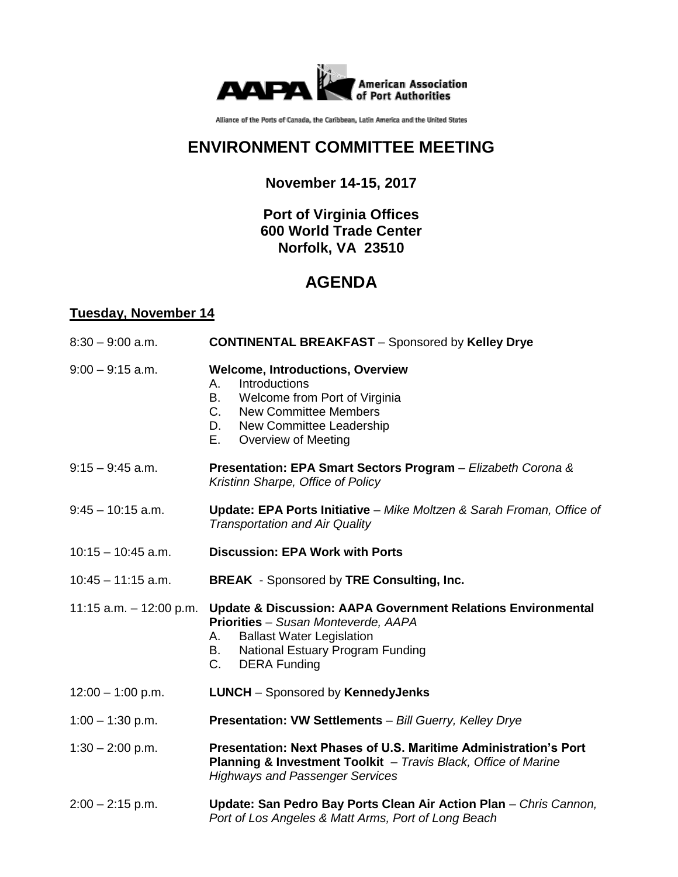

Alliance of the Ports of Canada, the Caribbean, Latin America and the United States

## **ENVIRONMENT COMMITTEE MEETING**

### **November 14-15, 2017**

### **Port of Virginia Offices 600 World Trade Center Norfolk, VA 23510**

# **AGENDA**

### **Tuesday, November 14**

| $8:30 - 9:00$ a.m.        | <b>CONTINENTAL BREAKFAST - Sponsored by Kelley Drye</b>                                                                                                                                                                     |
|---------------------------|-----------------------------------------------------------------------------------------------------------------------------------------------------------------------------------------------------------------------------|
| $9:00 - 9:15$ a.m.        | <b>Welcome, Introductions, Overview</b><br>Introductions<br>А.<br>В.<br>Welcome from Port of Virginia<br>C.<br><b>New Committee Members</b><br>New Committee Leadership<br>D.<br>Е.<br>Overview of Meeting                  |
| $9:15 - 9:45$ a.m.        | Presentation: EPA Smart Sectors Program - Elizabeth Corona &<br>Kristinn Sharpe, Office of Policy                                                                                                                           |
| $9:45 - 10:15$ a.m.       | Update: EPA Ports Initiative - Mike Moltzen & Sarah Froman, Office of<br><b>Transportation and Air Quality</b>                                                                                                              |
| $10:15 - 10:45$ a.m.      | <b>Discussion: EPA Work with Ports</b>                                                                                                                                                                                      |
| $10:45 - 11:15$ a.m.      | <b>BREAK</b> - Sponsored by TRE Consulting, Inc.                                                                                                                                                                            |
| 11:15 a.m. $-$ 12:00 p.m. | Update & Discussion: AAPA Government Relations Environmental<br>Priorities - Susan Monteverde, AAPA<br><b>Ballast Water Legislation</b><br>А.<br><b>National Estuary Program Funding</b><br>В.<br>C.<br><b>DERA Funding</b> |
| $12:00 - 1:00$ p.m.       | <b>LUNCH</b> - Sponsored by KennedyJenks                                                                                                                                                                                    |
| $1:00 - 1:30$ p.m.        | Presentation: VW Settlements - Bill Guerry, Kelley Drye                                                                                                                                                                     |
| $1:30 - 2:00$ p.m.        | Presentation: Next Phases of U.S. Maritime Administration's Port<br>Planning & Investment Toolkit - Travis Black, Office of Marine<br><b>Highways and Passenger Services</b>                                                |
| $2:00 - 2:15$ p.m.        | Update: San Pedro Bay Ports Clean Air Action Plan - Chris Cannon,<br>Port of Los Angeles & Matt Arms, Port of Long Beach                                                                                                    |